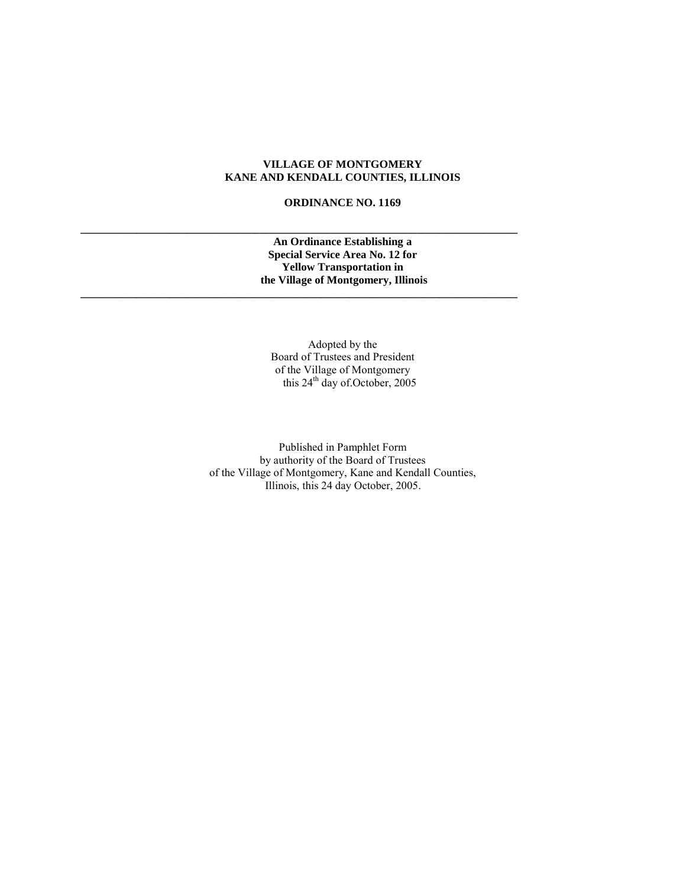# **VILLAGE OF MONTGOMERY KANE AND KENDALL COUNTIES, ILLINOIS**

## **ORDINANCE NO. 1169**

**\_\_\_\_\_\_\_\_\_\_\_\_\_\_\_\_\_\_\_\_\_\_\_\_\_\_\_\_\_\_\_\_\_\_\_\_\_\_\_\_\_\_\_\_\_\_\_\_\_\_\_\_\_\_\_\_\_\_\_\_\_\_\_\_\_\_\_\_\_\_\_\_\_\_\_\_\_\_**

**\_\_\_\_\_\_\_\_\_\_\_\_\_\_\_\_\_\_\_\_\_\_\_\_\_\_\_\_\_\_\_\_\_\_\_\_\_\_\_\_\_\_\_\_\_\_\_\_\_\_\_\_\_\_\_\_\_\_\_\_\_\_\_\_\_\_\_\_\_\_\_\_\_\_\_\_\_\_**

## **An Ordinance Establishing a Special Service Area No. 12 for Yellow Transportation in the Village of Montgomery, Illinois**

Adopted by the Board of Trustees and President of the Village of Montgomery this 24<sup>th</sup> day of October, 2005

Published in Pamphlet Form by authority of the Board of Trustees of the Village of Montgomery, Kane and Kendall Counties, Illinois, this 24 day October, 2005.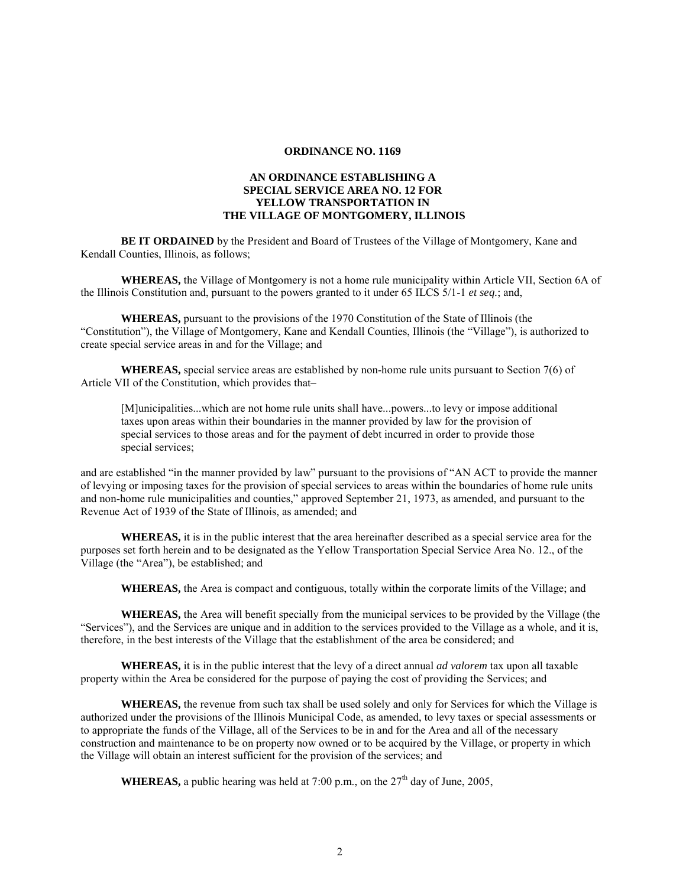#### **ORDINANCE NO. 1169**

## **AN ORDINANCE ESTABLISHING A SPECIAL SERVICE AREA NO. 12 FOR YELLOW TRANSPORTATION IN THE VILLAGE OF MONTGOMERY, ILLINOIS**

**BE IT ORDAINED** by the President and Board of Trustees of the Village of Montgomery, Kane and Kendall Counties, Illinois, as follows;

**WHEREAS,** the Village of Montgomery is not a home rule municipality within Article VII, Section 6A of the Illinois Constitution and, pursuant to the powers granted to it under 65 ILCS 5/1-1 *et seq.*; and,

**WHEREAS,** pursuant to the provisions of the 1970 Constitution of the State of Illinois (the "Constitution"), the Village of Montgomery, Kane and Kendall Counties, Illinois (the "Village"), is authorized to create special service areas in and for the Village; and

**WHEREAS,** special service areas are established by non-home rule units pursuant to Section 7(6) of Article VII of the Constitution, which provides that–

[M]unicipalities...which are not home rule units shall have...powers...to levy or impose additional taxes upon areas within their boundaries in the manner provided by law for the provision of special services to those areas and for the payment of debt incurred in order to provide those special services;

and are established "in the manner provided by law" pursuant to the provisions of "AN ACT to provide the manner of levying or imposing taxes for the provision of special services to areas within the boundaries of home rule units and non-home rule municipalities and counties," approved September 21, 1973, as amended, and pursuant to the Revenue Act of 1939 of the State of Illinois, as amended; and

**WHEREAS,** it is in the public interest that the area hereinafter described as a special service area for the purposes set forth herein and to be designated as the Yellow Transportation Special Service Area No. 12., of the Village (the "Area"), be established; and

**WHEREAS,** the Area is compact and contiguous, totally within the corporate limits of the Village; and

**WHEREAS,** the Area will benefit specially from the municipal services to be provided by the Village (the "Services"), and the Services are unique and in addition to the services provided to the Village as a whole, and it is, therefore, in the best interests of the Village that the establishment of the area be considered; and

**WHEREAS,** it is in the public interest that the levy of a direct annual *ad valorem* tax upon all taxable property within the Area be considered for the purpose of paying the cost of providing the Services; and

**WHEREAS,** the revenue from such tax shall be used solely and only for Services for which the Village is authorized under the provisions of the Illinois Municipal Code, as amended, to levy taxes or special assessments or to appropriate the funds of the Village, all of the Services to be in and for the Area and all of the necessary construction and maintenance to be on property now owned or to be acquired by the Village, or property in which the Village will obtain an interest sufficient for the provision of the services; and

**WHEREAS,** a public hearing was held at 7:00 p.m., on the  $27<sup>th</sup>$  day of June, 2005,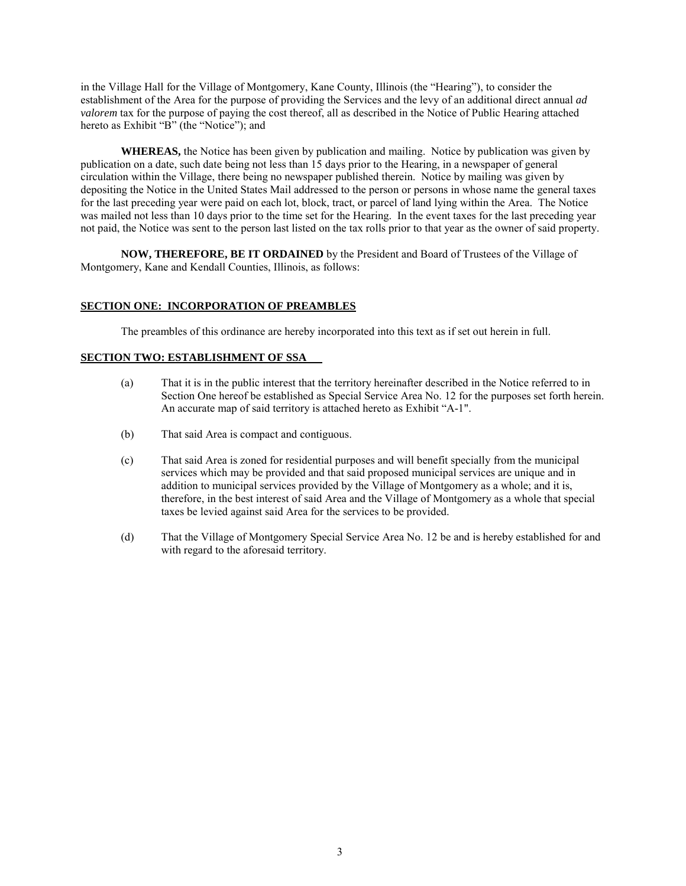in the Village Hall for the Village of Montgomery, Kane County, Illinois (the "Hearing"), to consider the establishment of the Area for the purpose of providing the Services and the levy of an additional direct annual *ad valorem* tax for the purpose of paying the cost thereof, all as described in the Notice of Public Hearing attached hereto as Exhibit "B" (the "Notice"); and

**WHEREAS,** the Notice has been given by publication and mailing. Notice by publication was given by publication on a date, such date being not less than 15 days prior to the Hearing, in a newspaper of general circulation within the Village, there being no newspaper published therein. Notice by mailing was given by depositing the Notice in the United States Mail addressed to the person or persons in whose name the general taxes for the last preceding year were paid on each lot, block, tract, or parcel of land lying within the Area. The Notice was mailed not less than 10 days prior to the time set for the Hearing. In the event taxes for the last preceding year not paid, the Notice was sent to the person last listed on the tax rolls prior to that year as the owner of said property.

**NOW, THEREFORE, BE IT ORDAINED** by the President and Board of Trustees of the Village of Montgomery, Kane and Kendall Counties, Illinois, as follows:

### **SECTION ONE: INCORPORATION OF PREAMBLES**

The preambles of this ordinance are hereby incorporated into this text as if set out herein in full.

## **SECTION TWO: ESTABLISHMENT OF SSA**

- (a) That it is in the public interest that the territory hereinafter described in the Notice referred to in Section One hereof be established as Special Service Area No. 12 for the purposes set forth herein. An accurate map of said territory is attached hereto as Exhibit "A-1".
- (b) That said Area is compact and contiguous.
- (c) That said Area is zoned for residential purposes and will benefit specially from the municipal services which may be provided and that said proposed municipal services are unique and in addition to municipal services provided by the Village of Montgomery as a whole; and it is, therefore, in the best interest of said Area and the Village of Montgomery as a whole that special taxes be levied against said Area for the services to be provided.
- (d) That the Village of Montgomery Special Service Area No. 12 be and is hereby established for and with regard to the aforesaid territory.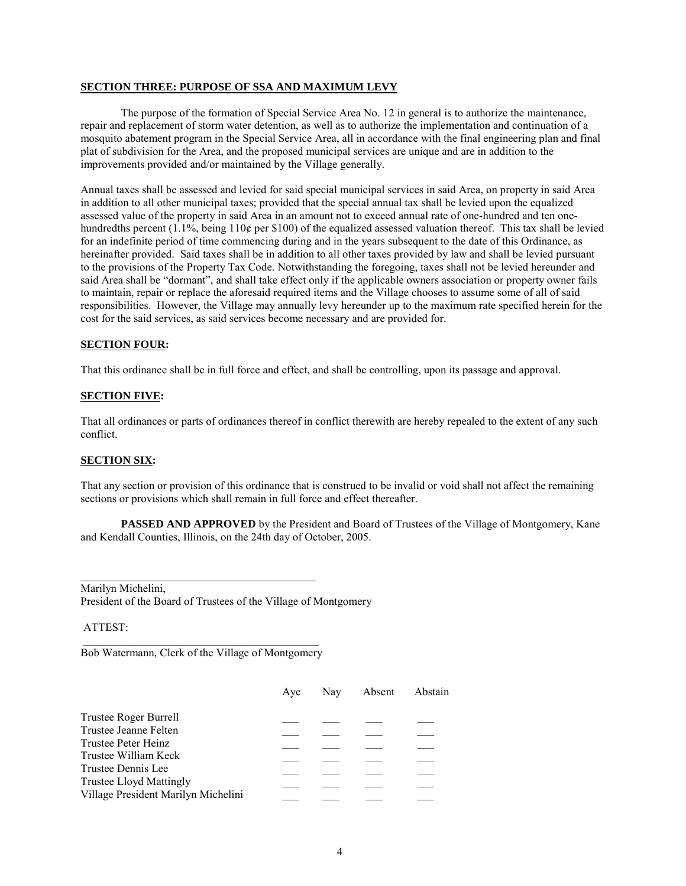#### **SECTION THREE: PURPOSE OF SSA AND MAXIMUM LEVY**

The purpose of the formation of Special Service Area No. 12 in general is to authorize the maintenance, repair and replacement of storm water detention, as well as to authorize the implementation and continuation of a mosquito abatement program in the Special Service Area, all in accordance with the final engineering plan and final plat of subdivision for the Area, and the proposed municipal services are unique and are in addition to the improvements provided and/or maintained by the Village generally.

Annual taxes shall be assessed and levied for said special municipal services in said Area, on property in said Area in addition to all other municipal taxes; provided that the special annual tax shall be levied upon the equalized assessed value of the property in said Area in an amount not to exceed annual rate of one-hundred and ten onehundredths percent (1.1%, being 110¢ per \$100) of the equalized assessed valuation thereof. This tax shall be levied for an indefinite period of time commencing during and in the years subsequent to the date of this Ordinance, as hereinafter provided. Said taxes shall be in addition to all other taxes provided by law and shall be levied pursuant to the provisions of the Property Tax Code. Notwithstanding the foregoing, taxes shall not be levied hereunder and said Area shall be "dormant", and shall take effect only if the applicable owners association or property owner fails to maintain, repair or replace the aforesaid required items and the Village chooses to assume some of all of said responsibilities. However, the Village may annually levy hereunder up to the maximum rate specified herein for the cost for the said services, as said services become necessary and are provided for.

### **SECTION FOUR:**

That this ordinance shall be in full force and effect, and shall be controlling, upon its passage and approval.

#### **SECTION FIVE:**

That all ordinances or parts of ordinances thereof in conflict therewith are hereby repealed to the extent of any such conflict.

#### **SECTION SIX:**

That any section or provision of this ordinance that is construed to be invalid or void shall not affect the remaining sections or provisions which shall remain in full force and effect thereafter.

**PASSED AND APPROVED** by the President and Board of Trustees of the Village of Montgomery, Kane and Kendall Counties, Illinois, on the 24th day of October, 2005.

Marilyn Michelini, President of the Board of Trustees of the Village of Montgomery

ATTEST:

\_\_\_\_\_\_\_\_\_\_\_\_\_\_\_\_\_\_\_\_\_\_\_\_\_\_\_\_\_\_\_\_\_\_\_\_\_\_\_\_\_\_ Bob Watermann, Clerk of the Village of Montgomery

\_\_\_\_\_\_\_\_\_\_\_\_\_\_\_\_\_\_\_\_\_\_\_\_\_\_\_\_\_\_\_\_\_\_\_\_\_\_\_\_\_\_

|                                     | Ave | Nav | Absent Abstain |
|-------------------------------------|-----|-----|----------------|
| Trustee Roger Burrell               |     |     |                |
| Trustee Jeanne Felten               |     |     |                |
| Trustee Peter Heinz                 |     |     |                |
| Trustee William Keck                |     |     |                |
| Trustee Dennis Lee                  |     |     |                |
| <b>Trustee Lloyd Mattingly</b>      |     |     |                |
| Village President Marilyn Michelini |     |     |                |
|                                     |     |     |                |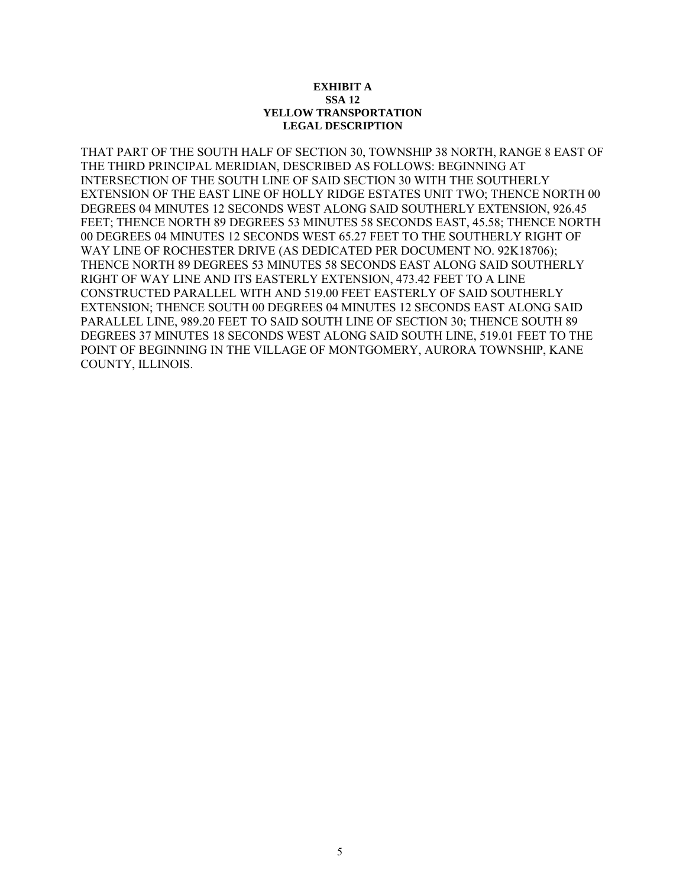### **EXHIBIT A SSA 12 YELLOW TRANSPORTATION LEGAL DESCRIPTION**

THAT PART OF THE SOUTH HALF OF SECTION 30, TOWNSHIP 38 NORTH, RANGE 8 EAST OF THE THIRD PRINCIPAL MERIDIAN, DESCRIBED AS FOLLOWS: BEGINNING AT INTERSECTION OF THE SOUTH LINE OF SAID SECTION 30 WITH THE SOUTHERLY EXTENSION OF THE EAST LINE OF HOLLY RIDGE ESTATES UNIT TWO; THENCE NORTH 00 DEGREES 04 MINUTES 12 SECONDS WEST ALONG SAID SOUTHERLY EXTENSION, 926.45 FEET; THENCE NORTH 89 DEGREES 53 MINUTES 58 SECONDS EAST, 45.58; THENCE NORTH 00 DEGREES 04 MINUTES 12 SECONDS WEST 65.27 FEET TO THE SOUTHERLY RIGHT OF WAY LINE OF ROCHESTER DRIVE (AS DEDICATED PER DOCUMENT NO. 92K18706); THENCE NORTH 89 DEGREES 53 MINUTES 58 SECONDS EAST ALONG SAID SOUTHERLY RIGHT OF WAY LINE AND ITS EASTERLY EXTENSION, 473.42 FEET TO A LINE CONSTRUCTED PARALLEL WITH AND 519.00 FEET EASTERLY OF SAID SOUTHERLY EXTENSION; THENCE SOUTH 00 DEGREES 04 MINUTES 12 SECONDS EAST ALONG SAID PARALLEL LINE, 989.20 FEET TO SAID SOUTH LINE OF SECTION 30; THENCE SOUTH 89 DEGREES 37 MINUTES 18 SECONDS WEST ALONG SAID SOUTH LINE, 519.01 FEET TO THE POINT OF BEGINNING IN THE VILLAGE OF MONTGOMERY, AURORA TOWNSHIP, KANE COUNTY, ILLINOIS.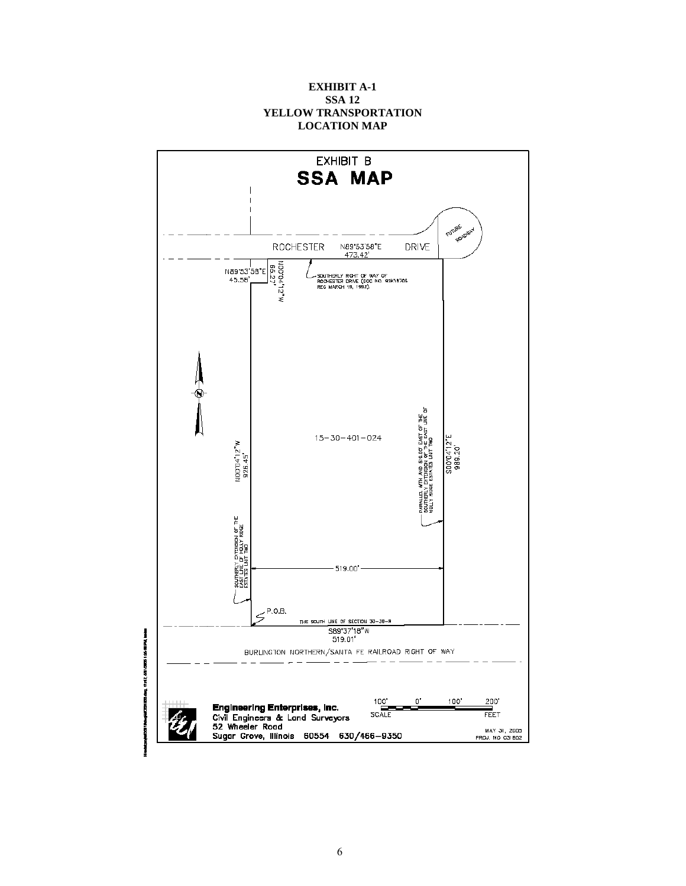# **EXHIBIT A-1 SSA 12 YELLOW TRANSPORTATION LOCATION MAP**

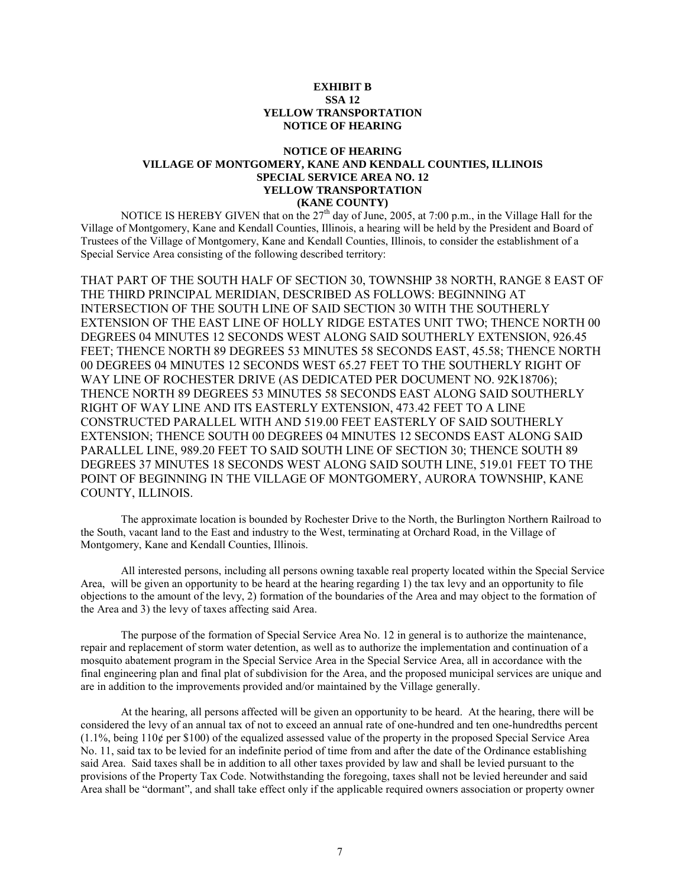## **EXHIBIT B SSA 12 YELLOW TRANSPORTATION NOTICE OF HEARING**

### **NOTICE OF HEARING VILLAGE OF MONTGOMERY, KANE AND KENDALL COUNTIES, ILLINOIS SPECIAL SERVICE AREA NO. 12 YELLOW TRANSPORTATION (KANE COUNTY)**

NOTICE IS HEREBY GIVEN that on the  $27<sup>th</sup>$  day of June, 2005, at 7:00 p.m., in the Village Hall for the Village of Montgomery, Kane and Kendall Counties, Illinois, a hearing will be held by the President and Board of Trustees of the Village of Montgomery, Kane and Kendall Counties, Illinois, to consider the establishment of a Special Service Area consisting of the following described territory:

THAT PART OF THE SOUTH HALF OF SECTION 30, TOWNSHIP 38 NORTH, RANGE 8 EAST OF THE THIRD PRINCIPAL MERIDIAN, DESCRIBED AS FOLLOWS: BEGINNING AT INTERSECTION OF THE SOUTH LINE OF SAID SECTION 30 WITH THE SOUTHERLY EXTENSION OF THE EAST LINE OF HOLLY RIDGE ESTATES UNIT TWO; THENCE NORTH 00 DEGREES 04 MINUTES 12 SECONDS WEST ALONG SAID SOUTHERLY EXTENSION, 926.45 FEET; THENCE NORTH 89 DEGREES 53 MINUTES 58 SECONDS EAST, 45.58; THENCE NORTH 00 DEGREES 04 MINUTES 12 SECONDS WEST 65.27 FEET TO THE SOUTHERLY RIGHT OF WAY LINE OF ROCHESTER DRIVE (AS DEDICATED PER DOCUMENT NO. 92K18706); THENCE NORTH 89 DEGREES 53 MINUTES 58 SECONDS EAST ALONG SAID SOUTHERLY RIGHT OF WAY LINE AND ITS EASTERLY EXTENSION, 473.42 FEET TO A LINE CONSTRUCTED PARALLEL WITH AND 519.00 FEET EASTERLY OF SAID SOUTHERLY EXTENSION; THENCE SOUTH 00 DEGREES 04 MINUTES 12 SECONDS EAST ALONG SAID PARALLEL LINE, 989.20 FEET TO SAID SOUTH LINE OF SECTION 30; THENCE SOUTH 89 DEGREES 37 MINUTES 18 SECONDS WEST ALONG SAID SOUTH LINE, 519.01 FEET TO THE POINT OF BEGINNING IN THE VILLAGE OF MONTGOMERY, AURORA TOWNSHIP, KANE COUNTY, ILLINOIS.

The approximate location is bounded by Rochester Drive to the North, the Burlington Northern Railroad to the South, vacant land to the East and industry to the West, terminating at Orchard Road, in the Village of Montgomery, Kane and Kendall Counties, Illinois.

All interested persons, including all persons owning taxable real property located within the Special Service Area, will be given an opportunity to be heard at the hearing regarding 1) the tax levy and an opportunity to file objections to the amount of the levy, 2) formation of the boundaries of the Area and may object to the formation of the Area and 3) the levy of taxes affecting said Area.

The purpose of the formation of Special Service Area No. 12 in general is to authorize the maintenance, repair and replacement of storm water detention, as well as to authorize the implementation and continuation of a mosquito abatement program in the Special Service Area in the Special Service Area, all in accordance with the final engineering plan and final plat of subdivision for the Area, and the proposed municipal services are unique and are in addition to the improvements provided and/or maintained by the Village generally.

At the hearing, all persons affected will be given an opportunity to be heard. At the hearing, there will be considered the levy of an annual tax of not to exceed an annual rate of one-hundred and ten one-hundredths percent  $(1.1\%$ , being  $110¢$  per \$100) of the equalized assessed value of the property in the proposed Special Service Area No. 11, said tax to be levied for an indefinite period of time from and after the date of the Ordinance establishing said Area. Said taxes shall be in addition to all other taxes provided by law and shall be levied pursuant to the provisions of the Property Tax Code. Notwithstanding the foregoing, taxes shall not be levied hereunder and said Area shall be "dormant", and shall take effect only if the applicable required owners association or property owner